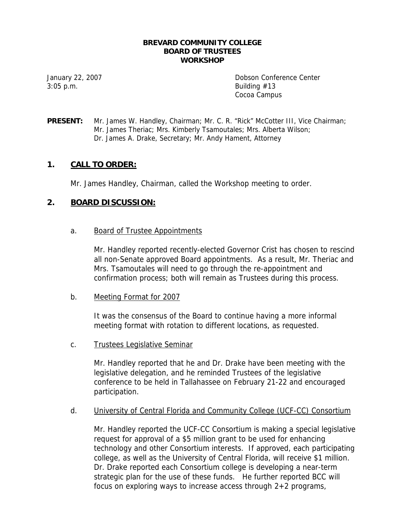#### **BREVARD COMMUNITY COLLEGE BOARD OF TRUSTEES WORKSHOP**

 $3:05$  p.m. Building  $\#13$ 

January 22, 2007 Dobson Conference Center Cocoa Campus

**PRESENT:** Mr. James W. Handley, Chairman; Mr. C. R. "Rick" McCotter III, Vice Chairman; Mr. James Theriac; Mrs. Kimberly Tsamoutales; Mrs. Alberta Wilson; Dr. James A. Drake, Secretary; Mr. Andy Hament, Attorney

# **1. CALL TO ORDER:**

Mr. James Handley, Chairman, called the Workshop meeting to order.

# **2. BOARD DISCUSSION:**

## a. Board of Trustee Appointments

Mr. Handley reported recently-elected Governor Crist has chosen to rescind all non-Senate approved Board appointments. As a result, Mr. Theriac and Mrs. Tsamoutales will need to go through the re-appointment and confirmation process; both will remain as Trustees during this process.

### b. Meeting Format for 2007

It was the consensus of the Board to continue having a more informal meeting format with rotation to different locations, as requested.

### c. Trustees Legislative Seminar

Mr. Handley reported that he and Dr. Drake have been meeting with the legislative delegation, and he reminded Trustees of the legislative conference to be held in Tallahassee on February 21-22 and encouraged participation.

### d. University of Central Florida and Community College (UCF-CC) Consortium

Mr. Handley reported the UCF-CC Consortium is making a special legislative request for approval of a \$5 million grant to be used for enhancing technology and other Consortium interests. If approved, each participating college, as well as the University of Central Florida, will receive \$1 million. Dr. Drake reported each Consortium college is developing a near-term strategic plan for the use of these funds. He further reported BCC will focus on exploring ways to increase access through 2+2 programs,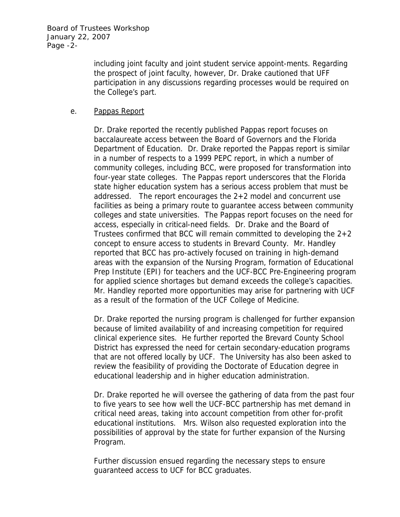Board of Trustees Workshop January 22, 2007 Page -2-

> including joint faculty and joint student service appoint-ments. Regarding the prospect of joint faculty, however, Dr. Drake cautioned that UFF participation in any discussions regarding processes would be required on the College's part.

## e. Pappas Report

Dr. Drake reported the recently published Pappas report focuses on baccalaureate access between the Board of Governors and the Florida Department of Education. Dr. Drake reported the Pappas report is similar in a number of respects to a 1999 PEPC report, in which a number of community colleges, including BCC, were proposed for transformation into four-year state colleges. The Pappas report underscores that the Florida state higher education system has a serious access problem that must be addressed. The report encourages the 2+2 model and concurrent use facilities as being a primary route to guarantee access between community colleges and state universities. The Pappas report focuses on the need for access, especially in critical-need fields. Dr. Drake and the Board of Trustees confirmed that BCC will remain committed to developing the 2+2 concept to ensure access to students in Brevard County. Mr. Handley reported that BCC has pro-actively focused on training in high-demand areas with the expansion of the Nursing Program, formation of Educational Prep Institute (EPI) for teachers and the UCF-BCC Pre-Engineering program for applied science shortages but demand exceeds the college's capacities. Mr. Handley reported more opportunities may arise for partnering with UCF as a result of the formation of the UCF College of Medicine.

Dr. Drake reported the nursing program is challenged for further expansion because of limited availability of and increasing competition for required clinical experience sites. He further reported the Brevard County School District has expressed the need for certain secondary-education programs that are not offered locally by UCF. The University has also been asked to review the feasibility of providing the Doctorate of Education degree in educational leadership and in higher education administration.

Dr. Drake reported he will oversee the gathering of data from the past four to five years to see how well the UCF-BCC partnership has met demand in critical need areas, taking into account competition from other for-profit educational institutions. Mrs. Wilson also requested exploration into the possibilities of approval by the state for further expansion of the Nursing Program.

Further discussion ensued regarding the necessary steps to ensure guaranteed access to UCF for BCC graduates.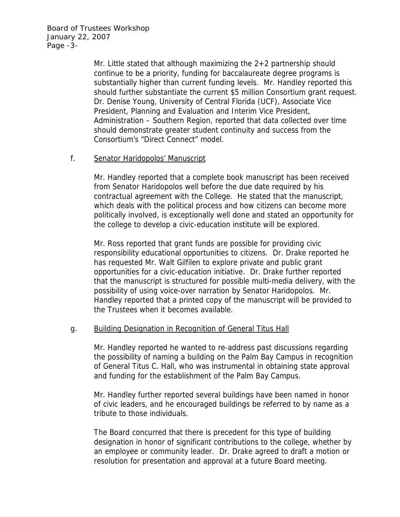Board of Trustees Workshop January 22, 2007 Page -3-

> Mr. Little stated that although maximizing the 2+2 partnership should continue to be a priority, funding for baccalaureate degree programs is substantially higher than current funding levels. Mr. Handley reported this should further substantiate the current \$5 million Consortium grant request. Dr. Denise Young, University of Central Florida (UCF), Associate Vice President, Planning and Evaluation and Interim Vice President, Administration – Southern Region, reported that data collected over time should demonstrate greater student continuity and success from the Consortium's "Direct Connect" model.

## f. Senator Haridopolos' Manuscript

Mr. Handley reported that a complete book manuscript has been received from Senator Haridopolos well before the due date required by his contractual agreement with the College. He stated that the manuscript, which deals with the political process and how citizens can become more politically involved, is exceptionally well done and stated an opportunity for the college to develop a civic-education institute will be explored.

Mr. Ross reported that grant funds are possible for providing civic responsibility educational opportunities to citizens. Dr. Drake reported he has requested Mr. Walt Gilfilen to explore private and public grant opportunities for a civic-education initiative. Dr. Drake further reported that the manuscript is structured for possible multi-media delivery, with the possibility of using voice-over narration by Senator Haridopolos. Mr. Handley reported that a printed copy of the manuscript will be provided to the Trustees when it becomes available.

## g. Building Designation in Recognition of General Titus Hall

Mr. Handley reported he wanted to re-address past discussions regarding the possibility of naming a building on the Palm Bay Campus in recognition of General Titus C. Hall, who was instrumental in obtaining state approval and funding for the establishment of the Palm Bay Campus.

Mr. Handley further reported several buildings have been named in honor of civic leaders, and he encouraged buildings be referred to by name as a tribute to those individuals.

The Board concurred that there is precedent for this type of building designation in honor of significant contributions to the college, whether by an employee or community leader. Dr. Drake agreed to draft a motion or resolution for presentation and approval at a future Board meeting.